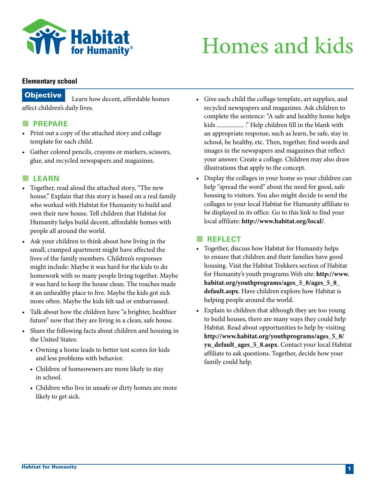

# Homes and kids

#### **Elementary school**

### **Objective** Learn how decent, affordable homes affect children's daily lives.

#### **PREPARE**

- Print out a copy of the attached story and collage template for each child.
- Gather colored pencils, crayons or markers, scissors, glue, and recycled newspapers and magazines.

#### **LEARN**

- Together, read aloud the attached story, "The new house." Explain that this story is based on a real family who worked with Habitat for Humanity to build and own their new house. Tell children that Habitat for Humanity helps build decent, affordable homes with people all around the world.
- Ask your children to think about how living in the small, cramped apartment might have affected the lives of the family members. Children's responses might include: Maybe it was hard for the kids to do homework with so many people living together. Maybe it was hard to keep the house clean. The roaches made it an unhealthy place to live. Maybe the kids got sick more often. Maybe the kids felt sad or embarrassed.
- Talk about how the children have "a brighter, healthier future" now that they are living in a clean, safe house.
- Share the following facts about children and housing in the United States:
	- Owning a home leads to better test scores for kids and less problems with behavior.
	- Children of homeowners are more likely to stay in school.
	- Children who live in unsafe or dirty homes are more likely to get sick.
- Give each child the collage template, art supplies, and recycled newspapers and magazines. Ask children to complete the sentence: "A safe and healthy home helps kids \_\_\_\_\_\_\_\_\_..." Help children fill in the blank with an appropriate response, such as learn, be safe, stay in school, be healthy, etc. Then, together, find words and images in the newspapers and magazines that reflect your answer. Create a collage. Children may also draw illustrations that apply to the concept.
- Display the collages in your home so your children can help "spread the word" about the need for good, safe housing to visitors. You also might decide to send the collages to your local Habitat for Humanity affiliate to be displayed in its office. Go to this link to find your local affiliate: **http://www.habitat.org/local/**.

#### **REFLECT**

- Together, discuss how Habitat for Humanity helps to ensure that children and their families have good housing. Visit the Habitat Trekkers section of Habitat for Humanity's youth programs Web site: **http://www. habitat.org/youthprograms/ages\_5\_8/ages\_5\_8\_ default.aspx**. Have children explore how Habitat is helping people around the world.
- Explain to children that although they are too young to build houses, there are many ways they could help Habitat. Read about opportunities to help by visiting **http://www.habitat.org/youthprograms/ages\_5\_8/ yu\_default\_ages\_5\_8.aspx**. Contact your local Habitat affiliate to ask questions. Together, decide how your family could help.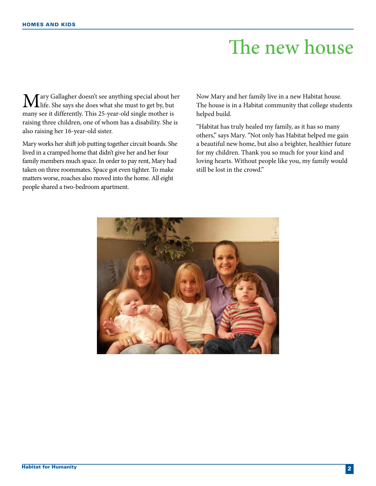## The new house

Mary Gallagher doesn't see anything special about her<br>life. She says she does what she must to get by, but many see it differently. This 25-year-old single mother is raising three children, one of whom has a disability. She is also raising her 16-year-old sister.

Mary works her shift job putting together circuit boards. She lived in a cramped home that didn't give her and her four family members much space. In order to pay rent, Mary had taken on three roommates. Space got even tighter. To make matters worse, roaches also moved into the home. All eight people shared a two-bedroom apartment.

Now Mary and her family live in a new Habitat house. The house is in a Habitat community that college students helped build.

"Habitat has truly healed my family, as it has so many others," says Mary. "Not only has Habitat helped me gain a beautiful new home, but also a brighter, healthier future for my children. Thank you so much for your kind and loving hearts. Without people like you, my family would still be lost in the crowd."